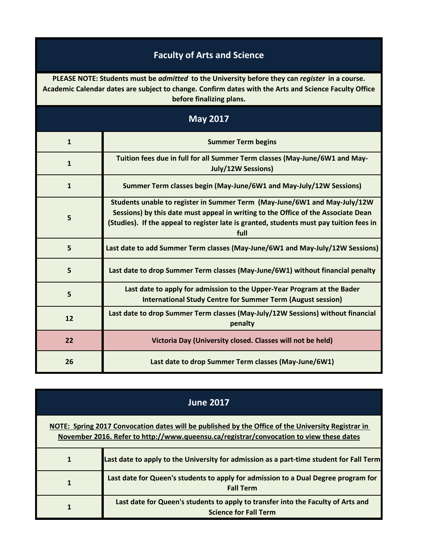## **Faculty of Arts and Science**

**PLEASE NOTE: Students must be** *admitted* **to the University before they can** *register* **in a course. Academic Calendar dates are subject to change. Confirm dates with the Arts and Science Faculty Office before finalizing plans.**

| <b>May 2017</b> |                                                                                                                                                                                                                                                                    |
|-----------------|--------------------------------------------------------------------------------------------------------------------------------------------------------------------------------------------------------------------------------------------------------------------|
| $\mathbf{1}$    | <b>Summer Term begins</b>                                                                                                                                                                                                                                          |
| $\mathbf{1}$    | Tuition fees due in full for all Summer Term classes (May-June/6W1 and May-<br><b>July/12W Sessions)</b>                                                                                                                                                           |
| $\mathbf{1}$    | Summer Term classes begin (May-June/6W1 and May-July/12W Sessions)                                                                                                                                                                                                 |
| 5               | Students unable to register in Summer Term (May-June/6W1 and May-July/12W)<br>Sessions) by this date must appeal in writing to the Office of the Associate Dean<br>(Studies). If the appeal to register late is granted, students must pay tuition fees in<br>full |
| 5               | Last date to add Summer Term classes (May-June/6W1 and May-July/12W Sessions)                                                                                                                                                                                      |
| 5               | Last date to drop Summer Term classes (May-June/6W1) without financial penalty                                                                                                                                                                                     |
| 5               | Last date to apply for admission to the Upper-Year Program at the Bader<br><b>International Study Centre for Summer Term (August session)</b>                                                                                                                      |
| 12              | Last date to drop Summer Term classes (May-July/12W Sessions) without financial<br>penalty                                                                                                                                                                         |
| 22              | Victoria Day (University closed. Classes will not be held)                                                                                                                                                                                                         |
| 26              | Last date to drop Summer Term classes (May-June/6W1)                                                                                                                                                                                                               |

| <b>June 2017</b>                                                                                                                                                                              |                                                                                                                  |
|-----------------------------------------------------------------------------------------------------------------------------------------------------------------------------------------------|------------------------------------------------------------------------------------------------------------------|
| NOTE: Spring 2017 Convocation dates will be published by the Office of the University Registrar in<br>November 2016. Refer to http://www.queensu.ca/registrar/convocation to view these dates |                                                                                                                  |
| $\mathbf{1}$                                                                                                                                                                                  | Last date to apply to the University for admission as a part-time student for Fall Term                          |
| 1                                                                                                                                                                                             | Last date for Queen's students to apply for admission to a Dual Degree program for<br><b>Fall Term</b>           |
| 1                                                                                                                                                                                             | Last date for Queen's students to apply to transfer into the Faculty of Arts and<br><b>Science for Fall Term</b> |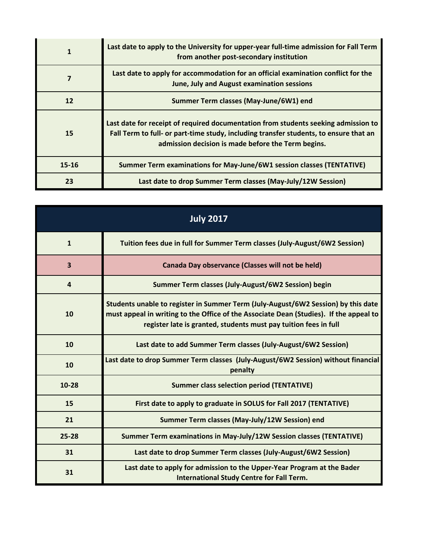|           | Last date to apply to the University for upper-year full-time admission for Fall Term<br>from another post-secondary institution                                                                                                  |
|-----------|-----------------------------------------------------------------------------------------------------------------------------------------------------------------------------------------------------------------------------------|
| 7         | Last date to apply for accommodation for an official examination conflict for the<br><b>June, July and August examination sessions</b>                                                                                            |
| 12        | Summer Term classes (May-June/6W1) end                                                                                                                                                                                            |
| 15        | Last date for receipt of required documentation from students seeking admission to<br>Fall Term to full- or part-time study, including transfer students, to ensure that an<br>admission decision is made before the Term begins. |
| $15 - 16$ | Summer Term examinations for May-June/6W1 session classes (TENTATIVE)                                                                                                                                                             |
| 23        | Last date to drop Summer Term classes (May-July/12W Session)                                                                                                                                                                      |

| <b>July 2017</b>        |                                                                                                                                                                                                                                                 |
|-------------------------|-------------------------------------------------------------------------------------------------------------------------------------------------------------------------------------------------------------------------------------------------|
| $\mathbf{1}$            | Tuition fees due in full for Summer Term classes (July-August/6W2 Session)                                                                                                                                                                      |
| $\overline{\mathbf{3}}$ | Canada Day observance (Classes will not be held)                                                                                                                                                                                                |
| $\overline{4}$          | Summer Term classes (July-August/6W2 Session) begin                                                                                                                                                                                             |
| 10                      | Students unable to register in Summer Term (July-August/6W2 Session) by this date<br>must appeal in writing to the Office of the Associate Dean (Studies). If the appeal to<br>register late is granted, students must pay tuition fees in full |
| 10                      | Last date to add Summer Term classes (July-August/6W2 Session)                                                                                                                                                                                  |
| 10                      | Last date to drop Summer Term classes (July-August/6W2 Session) without financial<br>penalty                                                                                                                                                    |
| $10 - 28$               | <b>Summer class selection period (TENTATIVE)</b>                                                                                                                                                                                                |
| 15                      | First date to apply to graduate in SOLUS for Fall 2017 (TENTATIVE)                                                                                                                                                                              |
| 21                      | Summer Term classes (May-July/12W Session) end                                                                                                                                                                                                  |
| $25 - 28$               | Summer Term examinations in May-July/12W Session classes (TENTATIVE)                                                                                                                                                                            |
| 31                      | Last date to drop Summer Term classes (July-August/6W2 Session)                                                                                                                                                                                 |
| 31                      | Last date to apply for admission to the Upper-Year Program at the Bader<br><b>International Study Centre for Fall Term.</b>                                                                                                                     |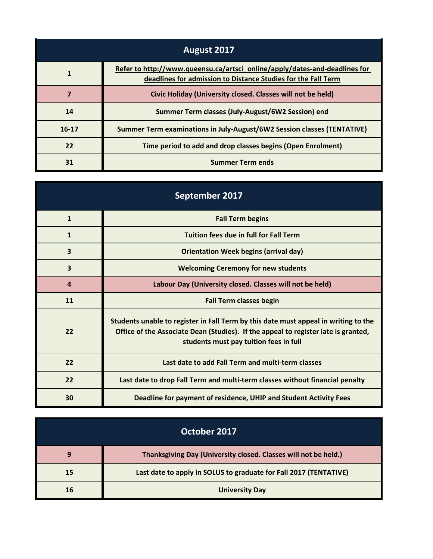| August 2017 |                                                                                                                                             |
|-------------|---------------------------------------------------------------------------------------------------------------------------------------------|
|             | Refer to http://www.queensu.ca/artsci_online/apply/dates-and-deadlines for<br>deadlines for admission to Distance Studies for the Fall Term |
|             | Civic Holiday (University closed. Classes will not be held)                                                                                 |
| 14          | Summer Term classes (July-August/6W2 Session) end                                                                                           |
| $16-17$     | Summer Term examinations in July-August/6W2 Session classes (TENTATIVE)                                                                     |
| 22          | Time period to add and drop classes begins (Open Enrolment)                                                                                 |
| 31          | <b>Summer Term ends</b>                                                                                                                     |

| September 2017   |                                                                                                                                                                                                                     |
|------------------|---------------------------------------------------------------------------------------------------------------------------------------------------------------------------------------------------------------------|
| $\mathbf{1}$     | <b>Fall Term begins</b>                                                                                                                                                                                             |
| $\mathbf{1}$     | <b>Tuition fees due in full for Fall Term</b>                                                                                                                                                                       |
| 3                | <b>Orientation Week begins (arrival day)</b>                                                                                                                                                                        |
| 3                | <b>Welcoming Ceremony for new students</b>                                                                                                                                                                          |
| $\boldsymbol{4}$ | Labour Day (University closed. Classes will not be held)                                                                                                                                                            |
| 11               | <b>Fall Term classes begin</b>                                                                                                                                                                                      |
| 22               | Students unable to register in Fall Term by this date must appeal in writing to the<br>Office of the Associate Dean (Studies). If the appeal to register late is granted,<br>students must pay tuition fees in full |
| 22               | Last date to add Fall Term and multi-term classes                                                                                                                                                                   |
| 22               | Last date to drop Fall Term and multi-term classes without financial penalty                                                                                                                                        |
| 30               | Deadline for payment of residence, UHIP and Student Activity Fees                                                                                                                                                   |

| October 2017 |                                                                   |
|--------------|-------------------------------------------------------------------|
| q            | Thanksgiving Day (University closed. Classes will not be held.)   |
| 15           | Last date to apply in SOLUS to graduate for Fall 2017 (TENTATIVE) |
| 16           | <b>University Day</b>                                             |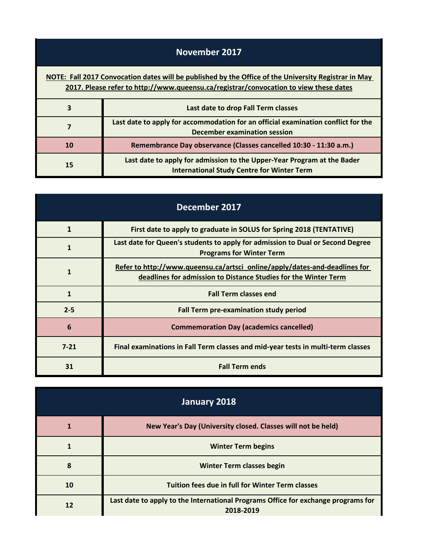| November 2017                                                                                                                                                                                 |                                                                                                                              |
|-----------------------------------------------------------------------------------------------------------------------------------------------------------------------------------------------|------------------------------------------------------------------------------------------------------------------------------|
| NOTE: Fall 2017 Convocation dates will be published by the Office of the University Registrar in May<br>2017. Please refer to http://www.queensu.ca/registrar/convocation to view these dates |                                                                                                                              |
| $\overline{\mathbf{3}}$                                                                                                                                                                       | Last date to drop Fall Term classes                                                                                          |
| 7                                                                                                                                                                                             | Last date to apply for accommodation for an official examination conflict for the<br>December examination session            |
| <b>10</b>                                                                                                                                                                                     | Remembrance Day observance (Classes cancelled 10:30 - 11:30 a.m.)                                                            |
| 15                                                                                                                                                                                            | Last date to apply for admission to the Upper-Year Program at the Bader<br><b>International Study Centre for Winter Term</b> |

| December 2017   |                                                                                                                                               |
|-----------------|-----------------------------------------------------------------------------------------------------------------------------------------------|
| 1               | First date to apply to graduate in SOLUS for Spring 2018 (TENTATIVE)                                                                          |
| 1               | Last date for Queen's students to apply for admission to Dual or Second Degree<br><b>Programs for Winter Term</b>                             |
| $\mathbf{1}$    | Refer to http://www.queensu.ca/artsci_online/apply/dates-and-deadlines for<br>deadlines for admission to Distance Studies for the Winter Term |
| 1               | <b>Fall Term classes end</b>                                                                                                                  |
| $2 - 5$         | <b>Fall Term pre-examination study period</b>                                                                                                 |
| $6\phantom{1}6$ | <b>Commemoration Day (academics cancelled)</b>                                                                                                |
| $7 - 21$        | Final examinations in Fall Term classes and mid-year tests in multi-term classes                                                              |
| 31              | <b>Fall Term ends</b>                                                                                                                         |

| January 2018 |                                                                                                |
|--------------|------------------------------------------------------------------------------------------------|
| 1            | New Year's Day (University closed. Classes will not be held)                                   |
|              | <b>Winter Term begins</b>                                                                      |
| 8            | <b>Winter Term classes begin</b>                                                               |
| 10           | Tuition fees due in full for Winter Term classes                                               |
| 12           | Last date to apply to the International Programs Office for exchange programs for<br>2018-2019 |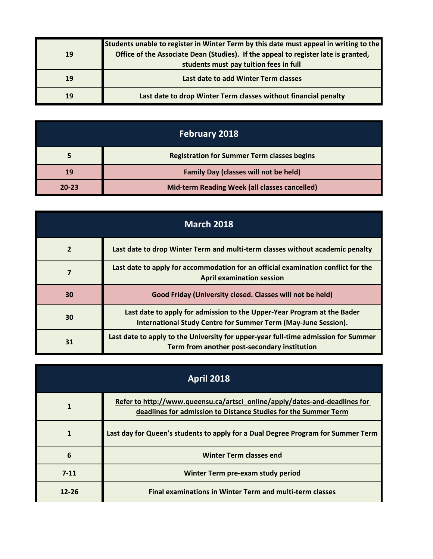|           | Students unable to register in Winter Term by this date must appeal in writing to the |
|-----------|---------------------------------------------------------------------------------------|
| <b>19</b> | Office of the Associate Dean (Studies). If the appeal to register late is granted,    |
|           | students must pay tuition fees in full                                                |
| 19        | Last date to add Winter Term classes                                                  |
| 19        | Last date to drop Winter Term classes without financial penalty                       |

| <b>February 2018</b> |                                                    |
|----------------------|----------------------------------------------------|
|                      | <b>Registration for Summer Term classes begins</b> |
| 19                   | <b>Family Day (classes will not be held)</b>       |
| $20 - 23$            | Mid-term Reading Week (all classes cancelled)      |

| <b>March 2018</b> |                                                                                                                                           |
|-------------------|-------------------------------------------------------------------------------------------------------------------------------------------|
| $\overline{2}$    | Last date to drop Winter Term and multi-term classes without academic penalty                                                             |
|                   | Last date to apply for accommodation for an official examination conflict for the<br><b>April examination session</b>                     |
| 30                | Good Friday (University closed. Classes will not be held)                                                                                 |
| 30                | Last date to apply for admission to the Upper-Year Program at the Bader<br>International Study Centre for Summer Term (May-June Session). |
| 31                | Last date to apply to the University for upper-year full-time admission for Summer<br>Term from another post-secondary institution        |

| <b>April 2018</b> |                                                                                                                                               |
|-------------------|-----------------------------------------------------------------------------------------------------------------------------------------------|
|                   | Refer to http://www.queensu.ca/artsci_online/apply/dates-and-deadlines for<br>deadlines for admission to Distance Studies for the Summer Term |
| 1                 | Last day for Queen's students to apply for a Dual Degree Program for Summer Term                                                              |
| 6                 | <b>Winter Term classes end</b>                                                                                                                |
| $7 - 11$          | Winter Term pre-exam study period                                                                                                             |
| $12 - 26$         | <b>Final examinations in Winter Term and multi-term classes</b>                                                                               |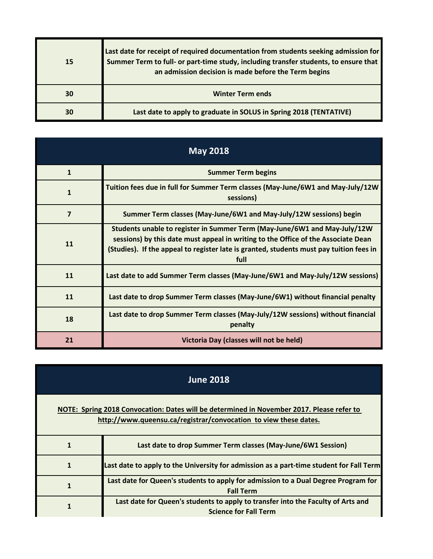| <b>15</b> | Last date for receipt of required documentation from students seeking admission for<br>Summer Term to full- or part-time study, including transfer students, to ensure that<br>an admission decision is made before the Term begins |
|-----------|-------------------------------------------------------------------------------------------------------------------------------------------------------------------------------------------------------------------------------------|
| 30        | <b>Winter Term ends</b>                                                                                                                                                                                                             |
| 30        | Last date to apply to graduate in SOLUS in Spring 2018 (TENTATIVE)                                                                                                                                                                  |

| <b>May 2018</b> |                                                                                                                                                                                                                                                                   |
|-----------------|-------------------------------------------------------------------------------------------------------------------------------------------------------------------------------------------------------------------------------------------------------------------|
| $\mathbf{1}$    | <b>Summer Term begins</b>                                                                                                                                                                                                                                         |
| $\mathbf{1}$    | Tuition fees due in full for Summer Term classes (May-June/6W1 and May-July/12W<br>sessions)                                                                                                                                                                      |
| $\overline{7}$  | Summer Term classes (May-June/6W1 and May-July/12W sessions) begin                                                                                                                                                                                                |
| 11              | Students unable to register in Summer Term (May-June/6W1 and May-July/12W<br>sessions) by this date must appeal in writing to the Office of the Associate Dean<br>(Studies). If the appeal to register late is granted, students must pay tuition fees in<br>full |
| 11              | Last date to add Summer Term classes (May-June/6W1 and May-July/12W sessions)                                                                                                                                                                                     |
| 11              | Last date to drop Summer Term classes (May-June/6W1) without financial penalty                                                                                                                                                                                    |
| 18              | Last date to drop Summer Term classes (May-July/12W sessions) without financial<br>penalty                                                                                                                                                                        |
| 21              | Victoria Day (classes will not be held)                                                                                                                                                                                                                           |

| <b>June 2018</b> |                                                                                                                                                               |
|------------------|---------------------------------------------------------------------------------------------------------------------------------------------------------------|
|                  | NOTE: Spring 2018 Convocation: Dates will be determined in November 2017. Please refer to<br>http://www.queensu.ca/registrar/convocation to view these dates. |
|                  | Last date to drop Summer Term classes (May-June/6W1 Session)                                                                                                  |
| 1                | Last date to apply to the University for admission as a part-time student for Fall Term                                                                       |
| 1                | Last date for Queen's students to apply for admission to a Dual Degree Program for<br><b>Fall Term</b>                                                        |
|                  | Last date for Queen's students to apply to transfer into the Faculty of Arts and<br><b>Science for Fall Term</b>                                              |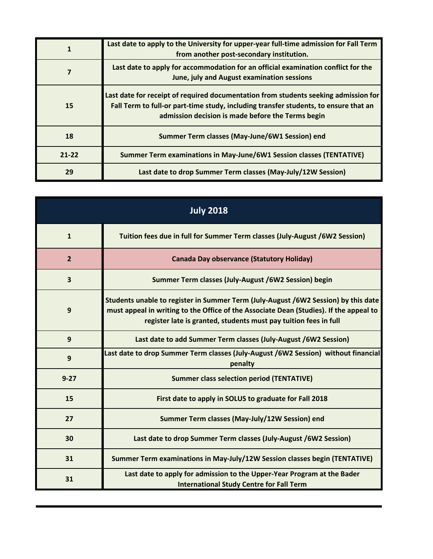|           | Last date to apply to the University for upper-year full-time admission for Fall Term<br>from another post-secondary institution.                                                                                                |
|-----------|----------------------------------------------------------------------------------------------------------------------------------------------------------------------------------------------------------------------------------|
|           | Last date to apply for accommodation for an official examination conflict for the<br>June, july and August examination sessions                                                                                                  |
| 15        | Last date for receipt of required documentation from students seeking admission for<br>Fall Term to full-or part-time study, including transfer students, to ensure that an<br>admission decision is made before the Terms begin |
| 18        | Summer Term classes (May-June/6W1 Session) end                                                                                                                                                                                   |
| $21 - 22$ | Summer Term examinations in May-June/6W1 Session classes (TENTATIVE)                                                                                                                                                             |
| 29        | Last date to drop Summer Term classes (May-July/12W Session)                                                                                                                                                                     |

| <b>July 2018</b> |                                                                                                                                                                                                                                                  |
|------------------|--------------------------------------------------------------------------------------------------------------------------------------------------------------------------------------------------------------------------------------------------|
| $\mathbf{1}$     | Tuition fees due in full for Summer Term classes (July-August /6W2 Session)                                                                                                                                                                      |
| $\overline{2}$   | <b>Canada Day observance (Statutory Holiday)</b>                                                                                                                                                                                                 |
| 3                | Summer Term classes (July-August /6W2 Session) begin                                                                                                                                                                                             |
| 9                | Students unable to register in Summer Term (July-August /6W2 Session) by this date<br>must appeal in writing to the Office of the Associate Dean (Studies). If the appeal to<br>register late is granted, students must pay tuition fees in full |
| 9                | Last date to add Summer Term classes (July-August /6W2 Session)                                                                                                                                                                                  |
| 9                | Last date to drop Summer Term classes (July-August /6W2 Session) without financial<br>penalty                                                                                                                                                    |
| $9 - 27$         | <b>Summer class selection period (TENTATIVE)</b>                                                                                                                                                                                                 |
| 15               | First date to apply in SOLUS to graduate for Fall 2018                                                                                                                                                                                           |
| 27               | Summer Term classes (May-July/12W Session) end                                                                                                                                                                                                   |
| 30               | Last date to drop Summer Term classes (July-August /6W2 Session)                                                                                                                                                                                 |
| 31               | Summer Term examinations in May-July/12W Session classes begin (TENTATIVE)                                                                                                                                                                       |
| 31               | Last date to apply for admission to the Upper-Year Program at the Bader<br><b>International Study Centre for Fall Term</b>                                                                                                                       |